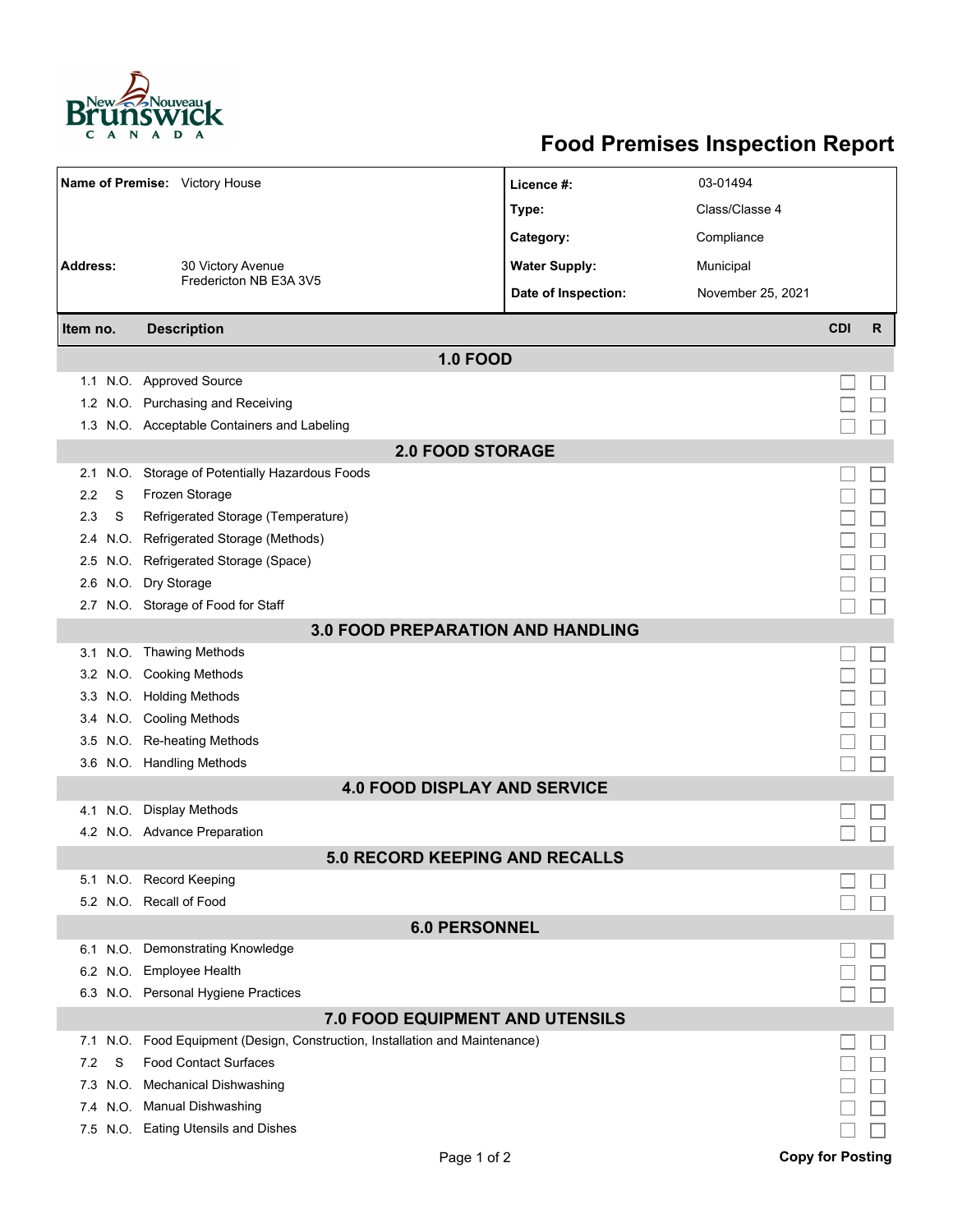

## **Food Premises Inspection Report**

| Name of Premise: Victory House           |      |                                                                     | Licence #:           | 03-01494          |            |              |  |  |  |  |
|------------------------------------------|------|---------------------------------------------------------------------|----------------------|-------------------|------------|--------------|--|--|--|--|
|                                          |      |                                                                     | Type:                | Class/Classe 4    |            |              |  |  |  |  |
|                                          |      |                                                                     | Category:            | Compliance        |            |              |  |  |  |  |
| <b>Address:</b>                          |      | 30 Victory Avenue                                                   | <b>Water Supply:</b> | Municipal         |            |              |  |  |  |  |
|                                          |      | Fredericton NB E3A 3V5                                              |                      |                   |            |              |  |  |  |  |
|                                          |      |                                                                     | Date of Inspection:  | November 25, 2021 |            |              |  |  |  |  |
| Item no.                                 |      | <b>Description</b>                                                  |                      |                   | <b>CDI</b> | $\mathsf{R}$ |  |  |  |  |
| <b>1.0 FOOD</b>                          |      |                                                                     |                      |                   |            |              |  |  |  |  |
|                                          |      | 1.1 N.O. Approved Source                                            |                      |                   |            |              |  |  |  |  |
|                                          |      | 1.2 N.O. Purchasing and Receiving                                   |                      |                   |            |              |  |  |  |  |
|                                          |      | 1.3 N.O. Acceptable Containers and Labeling                         |                      |                   |            |              |  |  |  |  |
| <b>2.0 FOOD STORAGE</b>                  |      |                                                                     |                      |                   |            |              |  |  |  |  |
| 2.1                                      |      | N.O. Storage of Potentially Hazardous Foods                         |                      |                   |            |              |  |  |  |  |
| 2.2                                      | S    | Frozen Storage                                                      |                      |                   |            |              |  |  |  |  |
| 2.3                                      | S    | Refrigerated Storage (Temperature)                                  |                      |                   |            |              |  |  |  |  |
| 2.4                                      | N.O. | Refrigerated Storage (Methods)                                      |                      |                   |            |              |  |  |  |  |
| 2.5                                      | N.O. | Refrigerated Storage (Space)                                        |                      |                   |            |              |  |  |  |  |
| 2.6                                      |      | N.O. Dry Storage                                                    |                      |                   |            |              |  |  |  |  |
|                                          |      | 2.7 N.O. Storage of Food for Staff                                  |                      |                   |            |              |  |  |  |  |
| <b>3.0 FOOD PREPARATION AND HANDLING</b> |      |                                                                     |                      |                   |            |              |  |  |  |  |
|                                          |      | 3.1 N.O. Thawing Methods                                            |                      |                   |            |              |  |  |  |  |
|                                          |      | 3.2 N.O. Cooking Methods                                            |                      |                   |            |              |  |  |  |  |
|                                          |      | 3.3 N.O. Holding Methods                                            |                      |                   |            |              |  |  |  |  |
|                                          |      | 3.4 N.O. Cooling Methods                                            |                      |                   |            |              |  |  |  |  |
| 3.5                                      |      | N.O. Re-heating Methods                                             |                      |                   |            |              |  |  |  |  |
|                                          |      | 3.6 N.O. Handling Methods                                           |                      |                   |            |              |  |  |  |  |
|                                          |      | <b>4.0 FOOD DISPLAY AND SERVICE</b>                                 |                      |                   |            |              |  |  |  |  |
| 4.1                                      | N.O. | <b>Display Methods</b>                                              |                      |                   |            |              |  |  |  |  |
|                                          |      | 4.2 N.O. Advance Preparation                                        |                      |                   |            |              |  |  |  |  |
|                                          |      | <b>5.0 RECORD KEEPING AND RECALLS</b>                               |                      |                   |            |              |  |  |  |  |
|                                          |      | 5.1 N.O. Record Keeping                                             |                      |                   |            |              |  |  |  |  |
|                                          |      | 5.2 N.O. Recall of Food                                             |                      |                   |            |              |  |  |  |  |
| <b>6.0 PERSONNEL</b>                     |      |                                                                     |                      |                   |            |              |  |  |  |  |
|                                          |      | 6.1 N.O. Demonstrating Knowledge                                    |                      |                   |            |              |  |  |  |  |
|                                          |      | 6.2 N.O. Employee Health                                            |                      |                   |            |              |  |  |  |  |
|                                          |      | 6.3 N.O. Personal Hygiene Practices                                 |                      |                   |            |              |  |  |  |  |
| 7.0 FOOD EQUIPMENT AND UTENSILS          |      |                                                                     |                      |                   |            |              |  |  |  |  |
| 7.1                                      | N.O. | Food Equipment (Design, Construction, Installation and Maintenance) |                      |                   |            |              |  |  |  |  |
| 7.2                                      | S    | <b>Food Contact Surfaces</b>                                        |                      |                   |            |              |  |  |  |  |
| 7.3                                      | N.O. | <b>Mechanical Dishwashing</b>                                       |                      |                   |            |              |  |  |  |  |
|                                          |      | 7.4 N.O. Manual Dishwashing                                         |                      |                   |            |              |  |  |  |  |
|                                          |      | 7.5 N.O. Eating Utensils and Dishes                                 |                      |                   |            |              |  |  |  |  |